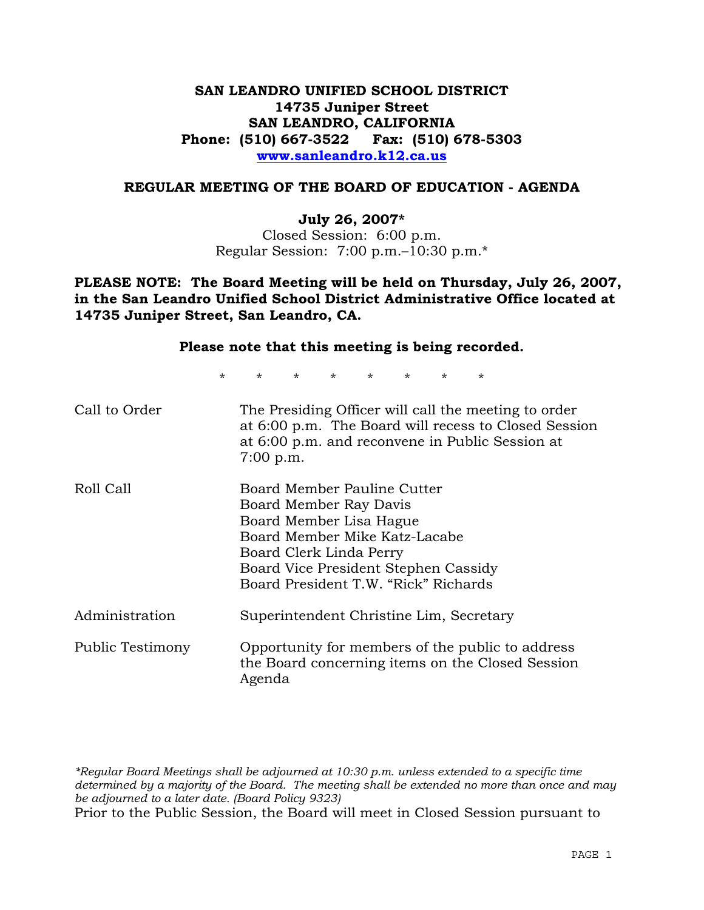## **SAN LEANDRO UNIFIED SCHOOL DISTRICT 14735 Juniper Street SAN LEANDRO, CALIFORNIA Phone: (510) 667-3522 Fax: (510) 678-5303 www.sanleandro.k12.ca.us**

#### **REGULAR MEETING OF THE BOARD OF EDUCATION - AGENDA**

#### **July 26, 2007\***

Closed Session: 6:00 p.m. Regular Session: 7:00 p.m.–10:30 p.m.\*

**PLEASE NOTE: The Board Meeting will be held on Thursday, July 26, 2007, in the San Leandro Unified School District Administrative Office located at 14735 Juniper Street, San Leandro, CA.**

| Please note that this meeting is being recorded. |                                                                                                                                                                                                                              |         |         |                     |                |         |   |                                                      |
|--------------------------------------------------|------------------------------------------------------------------------------------------------------------------------------------------------------------------------------------------------------------------------------|---------|---------|---------------------|----------------|---------|---|------------------------------------------------------|
| $\star$                                          | $\star$                                                                                                                                                                                                                      | $\star$ | $\star$ | $\star$ and $\star$ | $\star$ $\sim$ | $\star$ | * |                                                      |
| Call to Order                                    | The Presiding Officer will call the meeting to order<br>at 6:00 p.m. and reconvene in Public Session at<br>$7:00$ p.m.                                                                                                       |         |         |                     |                |         |   | at 6:00 p.m. The Board will recess to Closed Session |
| Roll Call                                        | Board Member Pauline Cutter<br>Board Member Ray Davis<br>Board Member Lisa Hague<br>Board Member Mike Katz-Lacabe<br>Board Clerk Linda Perry<br>Board Vice President Stephen Cassidy<br>Board President T.W. "Rick" Richards |         |         |                     |                |         |   |                                                      |
| Administration                                   | Superintendent Christine Lim, Secretary                                                                                                                                                                                      |         |         |                     |                |         |   |                                                      |
| Public Testimony                                 | Opportunity for members of the public to address<br>the Board concerning items on the Closed Session<br>Agenda                                                                                                               |         |         |                     |                |         |   |                                                      |

*\*Regular Board Meetings shall be adjourned at 10:30 p.m. unless extended to a specific time determined by a majority of the Board. The meeting shall be extended no more than once and may be adjourned to a later date. (Board Policy 9323)*  Prior to the Public Session, the Board will meet in Closed Session pursuant to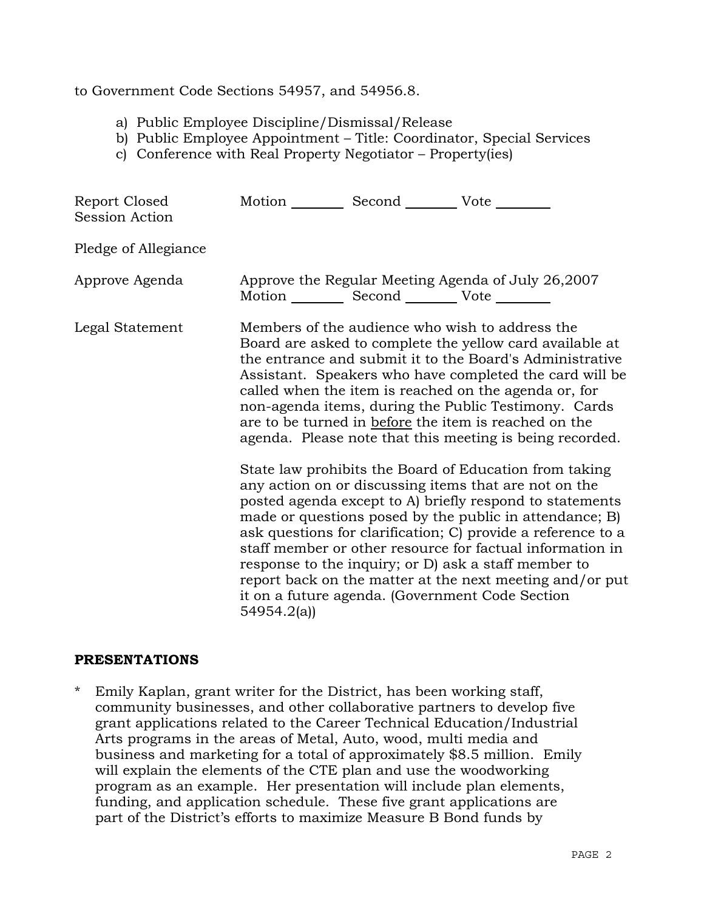## to Government Code Sections 54957, and 54956.8.

- a) Public Employee Discipline/Dismissal/Release
- b) Public Employee Appointment Title: Coordinator, Special Services
- c) Conference with Real Property Negotiator Property(ies)

| Report Closed<br>Session Action | Motion Second Vote                                     |                                                                                                                                                                                                                                                                                                                                                                                                                                                                                                                                            |
|---------------------------------|--------------------------------------------------------|--------------------------------------------------------------------------------------------------------------------------------------------------------------------------------------------------------------------------------------------------------------------------------------------------------------------------------------------------------------------------------------------------------------------------------------------------------------------------------------------------------------------------------------------|
| Pledge of Allegiance            |                                                        |                                                                                                                                                                                                                                                                                                                                                                                                                                                                                                                                            |
| Approve Agenda                  | Motion ___________ Second _____________ Vote _________ | Approve the Regular Meeting Agenda of July 26,2007                                                                                                                                                                                                                                                                                                                                                                                                                                                                                         |
| Legal Statement                 |                                                        | Members of the audience who wish to address the<br>Board are asked to complete the yellow card available at<br>the entrance and submit it to the Board's Administrative<br>Assistant. Speakers who have completed the card will be<br>called when the item is reached on the agenda or, for<br>non-agenda items, during the Public Testimony. Cards<br>are to be turned in before the item is reached on the<br>agenda. Please note that this meeting is being recorded.                                                                   |
|                                 | 54954.2(a)                                             | State law prohibits the Board of Education from taking<br>any action on or discussing items that are not on the<br>posted agenda except to A) briefly respond to statements<br>made or questions posed by the public in attendance; B)<br>ask questions for clarification; C) provide a reference to a<br>staff member or other resource for factual information in<br>response to the inquiry; or D) ask a staff member to<br>report back on the matter at the next meeting and/or put<br>it on a future agenda. (Government Code Section |

## **PRESENTATIONS**

\* Emily Kaplan, grant writer for the District, has been working staff, community businesses, and other collaborative partners to develop five grant applications related to the Career Technical Education/Industrial Arts programs in the areas of Metal, Auto, wood, multi media and business and marketing for a total of approximately \$8.5 million. Emily will explain the elements of the CTE plan and use the woodworking program as an example. Her presentation will include plan elements, funding, and application schedule. These five grant applications are part of the District's efforts to maximize Measure B Bond funds by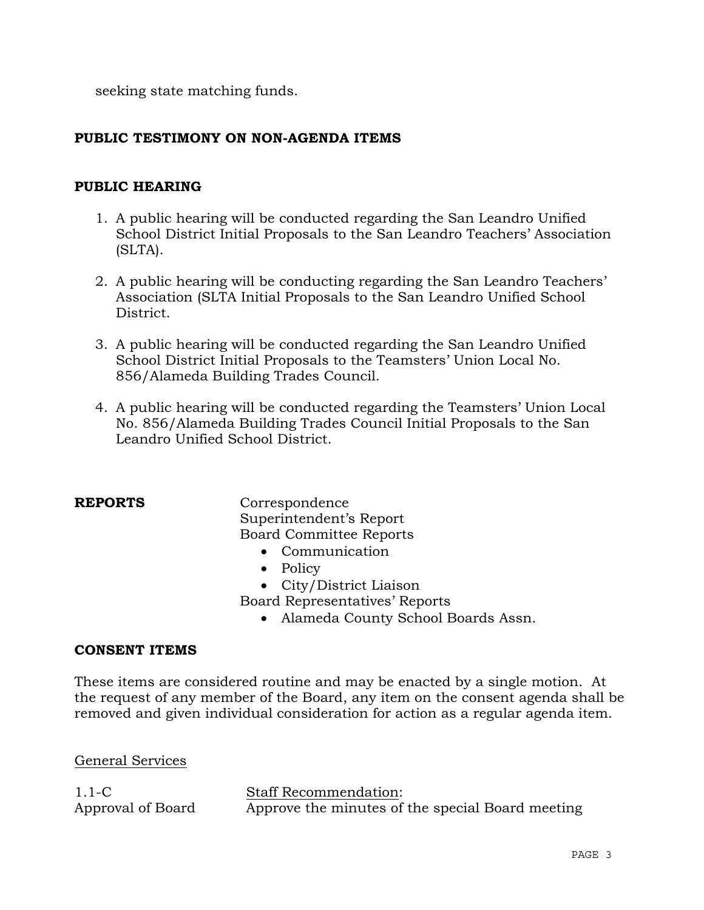seeking state matching funds.

## **PUBLIC TESTIMONY ON NON-AGENDA ITEMS**

## **PUBLIC HEARING**

- 1. A public hearing will be conducted regarding the San Leandro Unified School District Initial Proposals to the San Leandro Teachers' Association (SLTA).
- 2. A public hearing will be conducting regarding the San Leandro Teachers' Association (SLTA Initial Proposals to the San Leandro Unified School District.
- 3. A public hearing will be conducted regarding the San Leandro Unified School District Initial Proposals to the Teamsters' Union Local No. 856/Alameda Building Trades Council.
- 4. A public hearing will be conducted regarding the Teamsters' Union Local No. 856/Alameda Building Trades Council Initial Proposals to the San Leandro Unified School District.

**REPORTS** Correspondence Superintendent's Report Board Committee Reports

- Communication
- Policy
- City/District Liaison
- Board Representatives' Reports
	- Alameda County School Boards Assn.

## **CONSENT ITEMS**

These items are considered routine and may be enacted by a single motion. At the request of any member of the Board, any item on the consent agenda shall be removed and given individual consideration for action as a regular agenda item.

General Services

1.1-C Approval of Board Staff Recommendation: Approve the minutes of the special Board meeting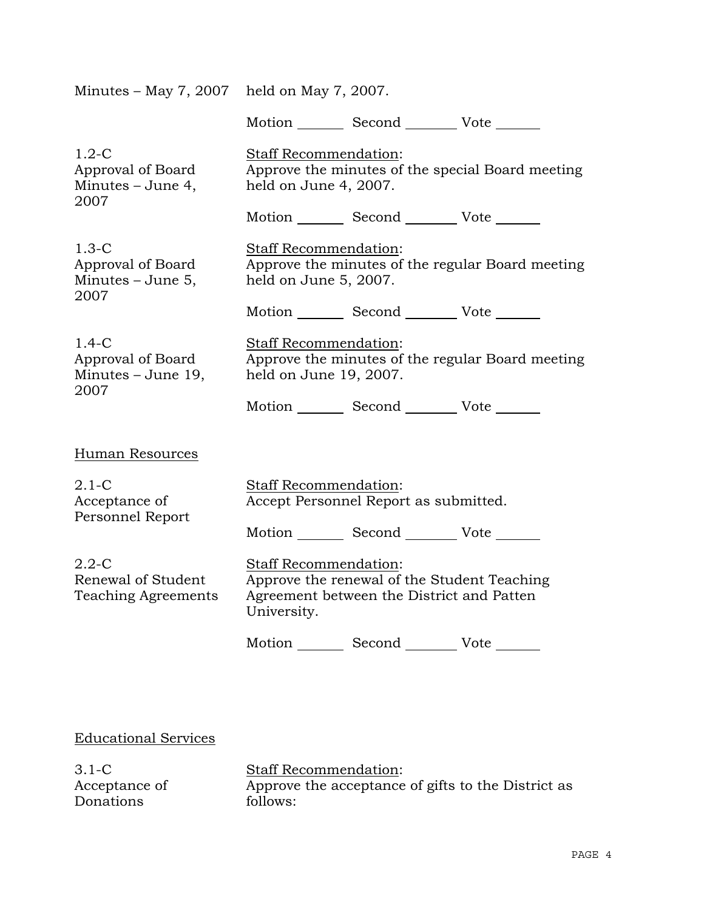| Minutes – May 7, 2007 held on May 7, 2007.                    |                                                                                                            |                                                                                          |                                                  |  |
|---------------------------------------------------------------|------------------------------------------------------------------------------------------------------------|------------------------------------------------------------------------------------------|--------------------------------------------------|--|
|                                                               |                                                                                                            | Motion _________ Second ___________ Vote _______                                         |                                                  |  |
| $1.2-C$<br>Approval of Board<br>Minutes – June 4,<br>2007     | Staff Recommendation:<br>held on June 4, 2007.                                                             |                                                                                          | Approve the minutes of the special Board meeting |  |
|                                                               |                                                                                                            | Motion _________ Second __________ Vote _______                                          |                                                  |  |
| $1.3-C$<br>Approval of Board<br>Minutes $-$ June 5,<br>2007   | <b>Staff Recommendation:</b><br>held on June 5, 2007.                                                      |                                                                                          | Approve the minutes of the regular Board meeting |  |
|                                                               |                                                                                                            | Motion _________ Second __________ Vote _______                                          |                                                  |  |
| $1.4-C$<br>Approval of Board<br>Minutes – June 19,<br>2007    | <b>Staff Recommendation:</b><br>Approve the minutes of the regular Board meeting<br>held on June 19, 2007. |                                                                                          |                                                  |  |
|                                                               |                                                                                                            | Motion _________ Second __________ Vote _______                                          |                                                  |  |
| Human Resources                                               |                                                                                                            |                                                                                          |                                                  |  |
| $2.1 - C$<br>Acceptance of<br>Personnel Report                | Staff Recommendation:<br>Accept Personnel Report as submitted.                                             |                                                                                          |                                                  |  |
|                                                               |                                                                                                            | Motion _________ Second __________ Vote _______                                          |                                                  |  |
| $2.2 - C$<br>Renewal of Student<br><b>Teaching Agreements</b> | <b>Staff Recommendation:</b><br>University.                                                                | Approve the renewal of the Student Teaching<br>Agreement between the District and Patten |                                                  |  |
|                                                               |                                                                                                            | Motion _________ Second __________ Vote _______                                          |                                                  |  |
|                                                               |                                                                                                            |                                                                                          |                                                  |  |

Educational Services

3.1-C Acceptance of Donations

Staff Recommendation: Approve the acceptance of gifts to the District as follows: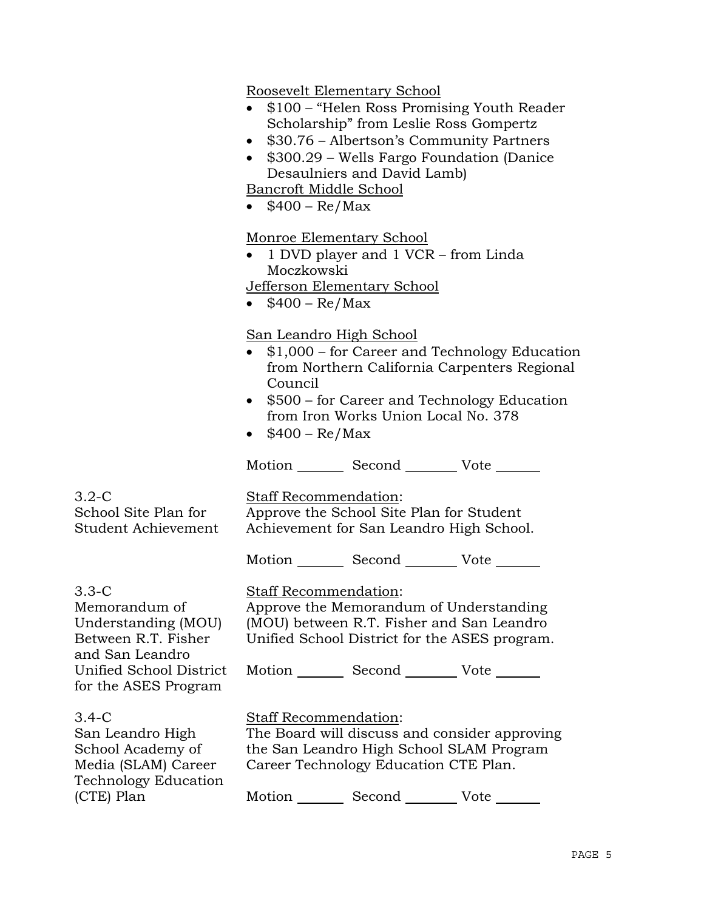Roosevelt Elementary School

- \$100 "Helen Ross Promising Youth Reader" Scholarship" from Leslie Ross Gompertz
- \$30.76 Albertson's Community Partners
- \$300.29 Wells Fargo Foundation (Danice Desaulniers and David Lamb)

Bancroft Middle School

•  $$400 - Re/Max$ 

Monroe Elementary School

• 1 DVD player and 1 VCR – from Linda Moczkowski

Jefferson Elementary School

•  $$400 - Re/Max$ 

## San Leandro High School

- \$1,000 for Career and Technology Education from Northern California Carpenters Regional Council
- \$500 for Career and Technology Education from Iron Works Union Local No. 378
- $$400 Re/Max$

Motion Second Vote

3.2-C School Site Plan for

Student Achievement

Staff Recommendation:

Approve the School Site Plan for Student Achievement for San Leandro High School.

Motion Second Vote \_\_\_\_\_\_

3.3-C Memorandum of Understanding (MOU) Between R.T. Fisher and San Leandro Unified School District for the ASES Program

Staff Recommendation:

Approve the Memorandum of Understanding (MOU) between R.T. Fisher and San Leandro Unified School District for the ASES program.

Motion Second Vote \_\_\_\_\_\_

3.4-C

San Leandro High School Academy of Media (SLAM) Career Technology Education (CTE) Plan

Staff Recommendation:

The Board will discuss and consider approving the San Leandro High School SLAM Program Career Technology Education CTE Plan.

Motion Second Vote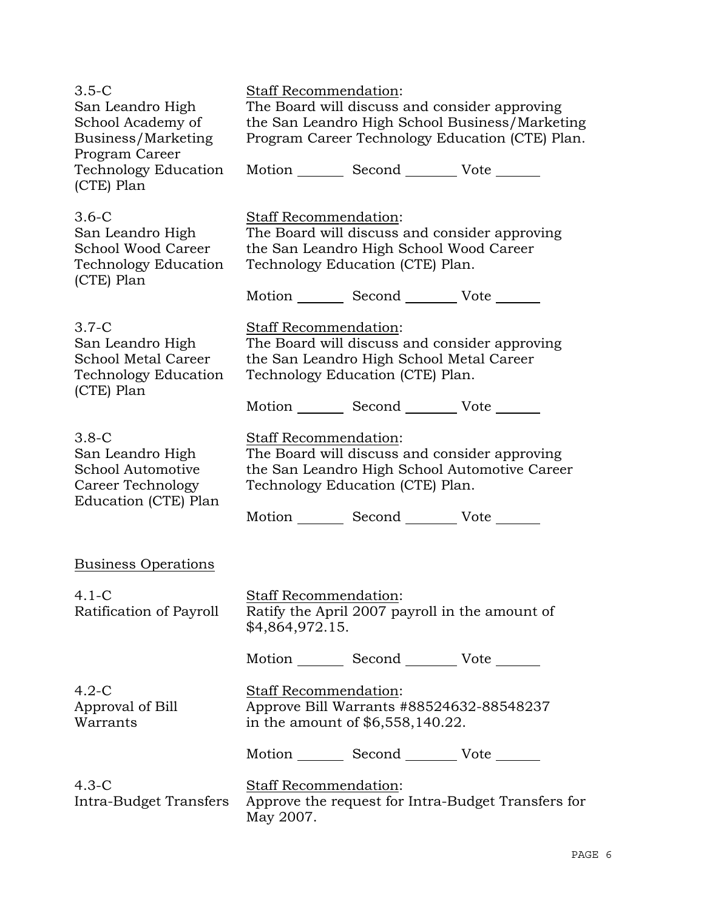| $3.5-C$<br>San Leandro High<br>School Academy of<br>Business/Marketing<br>Program Career              | Staff Recommendation:<br>The Board will discuss and consider approving<br>the San Leandro High School Business/Marketing<br>Program Career Technology Education (CTE) Plan. |  |  |  |
|-------------------------------------------------------------------------------------------------------|-----------------------------------------------------------------------------------------------------------------------------------------------------------------------------|--|--|--|
| Technology Education<br>(CTE) Plan                                                                    | Motion _________ Second __________ Vote _______                                                                                                                             |  |  |  |
| $3.6-C$<br>San Leandro High<br><b>School Wood Career</b><br><b>Technology Education</b><br>(CTE) Plan | Staff Recommendation:<br>The Board will discuss and consider approving<br>the San Leandro High School Wood Career<br>Technology Education (CTE) Plan.                       |  |  |  |
|                                                                                                       | Motion _________ Second __________ Vote _______                                                                                                                             |  |  |  |
| $3.7-C$<br>San Leandro High<br>School Metal Career<br>Technology Education<br>(CTE) Plan              | Staff Recommendation:<br>The Board will discuss and consider approving<br>the San Leandro High School Metal Career<br>Technology Education (CTE) Plan.                      |  |  |  |
|                                                                                                       | Motion _________ Second __________ Vote _______                                                                                                                             |  |  |  |
| $3.8-C$<br>San Leandro High<br>School Automotive<br>Career Technology<br>Education (CTE) Plan         | <u>Staff Recommendation:</u><br>The Board will discuss and consider approving<br>the San Leandro High School Automotive Career<br>Technology Education (CTE) Plan.          |  |  |  |
|                                                                                                       | Motion _________ Second __________ Vote _______                                                                                                                             |  |  |  |
| <b>Business Operations</b>                                                                            |                                                                                                                                                                             |  |  |  |
| $4.1 - C$<br>Ratification of Payroll                                                                  | <b>Staff Recommendation:</b><br>Ratify the April 2007 payroll in the amount of<br>\$4,864,972.15.                                                                           |  |  |  |
|                                                                                                       | Motion _________ Second __________ Vote _______                                                                                                                             |  |  |  |
| $4.2-C$<br>Approval of Bill<br>Warrants                                                               | Staff Recommendation:<br>Approve Bill Warrants #88524632-88548237<br>in the amount of \$6,558,140.22.                                                                       |  |  |  |
|                                                                                                       | Motion _________ Second __________ Vote _______                                                                                                                             |  |  |  |
| $4.3-C$<br>Intra-Budget Transfers                                                                     | Staff Recommendation:<br>Approve the request for Intra-Budget Transfers for<br>May 2007.                                                                                    |  |  |  |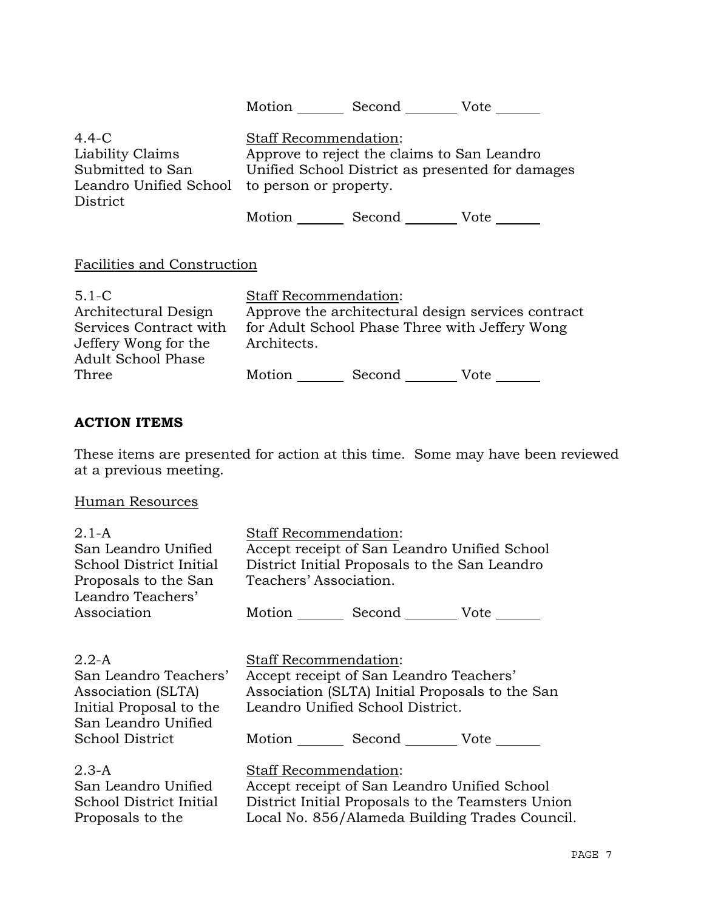| $4.4-C$<br>Liability Claims<br>Submitted to San<br>Leandro Unified School                                        | <b>Staff Recommendation:</b><br>Approve to reject the claims to San Leandro<br>Unified School District as presented for damages<br>to person or property. |                    |                                                                                                      |  |
|------------------------------------------------------------------------------------------------------------------|-----------------------------------------------------------------------------------------------------------------------------------------------------------|--------------------|------------------------------------------------------------------------------------------------------|--|
| District                                                                                                         |                                                                                                                                                           | Motion Second Vote |                                                                                                      |  |
| Facilities and Construction                                                                                      |                                                                                                                                                           |                    |                                                                                                      |  |
| $5.1 - C$<br>Architectural Design<br>Services Contract with<br>Jeffery Wong for the<br><b>Adult School Phase</b> | <b>Staff Recommendation:</b><br>Architects.                                                                                                               |                    | Approve the architectural design services contract<br>for Adult School Phase Three with Jeffery Wong |  |
| Three                                                                                                            | Motion                                                                                                                                                    |                    | Vote                                                                                                 |  |

## **ACTION ITEMS**

These items are presented for action at this time. Some may have been reviewed at a previous meeting.

## Human Resources

| $2.1 - A$<br>San Leandro Unified<br>School District Initial<br>Proposals to the San<br>Leandro Teachers'                    | Staff Recommendation:<br>Accept receipt of San Leandro Unified School<br>District Initial Proposals to the San Leandro<br>Teachers' Association.                                     |  |  |  |
|-----------------------------------------------------------------------------------------------------------------------------|--------------------------------------------------------------------------------------------------------------------------------------------------------------------------------------|--|--|--|
| Association                                                                                                                 | Motion _________ Second __________ Vote _______                                                                                                                                      |  |  |  |
| $2.2-A$<br>San Leandro Teachers'<br>Association (SLTA)<br>Initial Proposal to the<br>San Leandro Unified<br>School District | <b>Staff Recommendation:</b><br>Accept receipt of San Leandro Teachers'<br>Association (SLTA) Initial Proposals to the San<br>Leandro Unified School District.<br>Motion Second Vote |  |  |  |
| $2.3-A$<br>San Leandro Unified<br>School District Initial<br>Proposals to the                                               | Staff Recommendation:<br>Accept receipt of San Leandro Unified School<br>District Initial Proposals to the Teamsters Union<br>Local No. 856/Alameda Building Trades Council.         |  |  |  |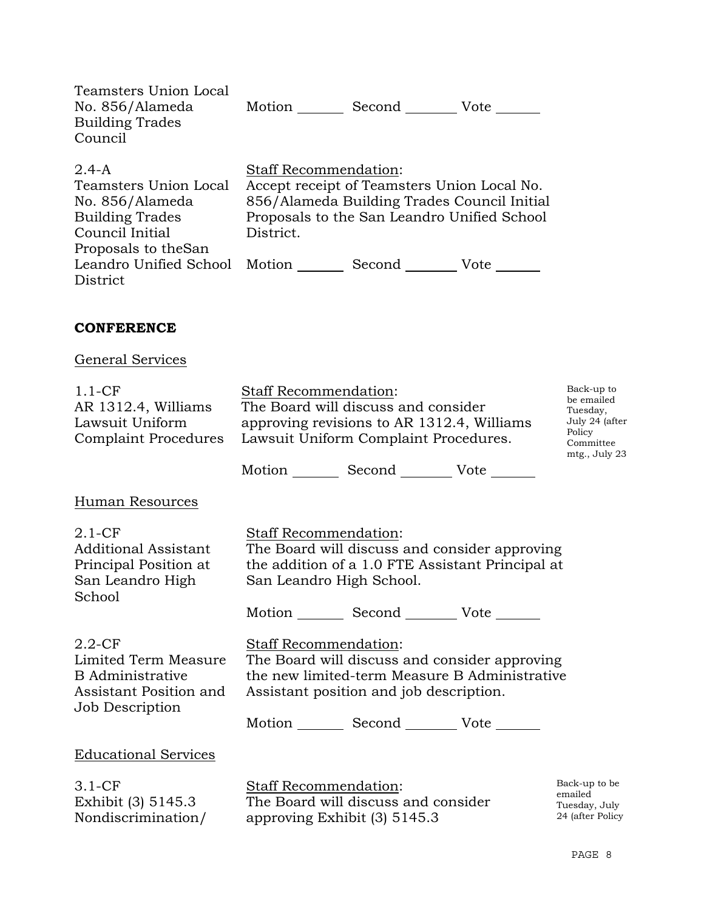| Teamsters Union Local<br>No. 856/Alameda<br><b>Building Trades</b><br>Council                                              | Motion<br>Second<br>Vote                                                                                                                                                               |
|----------------------------------------------------------------------------------------------------------------------------|----------------------------------------------------------------------------------------------------------------------------------------------------------------------------------------|
| $2.4 - A$<br>Teamsters Union Local<br>No. 856/Alameda<br><b>Building Trades</b><br>Council Initial<br>Proposals to the San | <b>Staff Recommendation:</b><br>Accept receipt of Teamsters Union Local No.<br>856/Alameda Building Trades Council Initial<br>Proposals to the San Leandro Unified School<br>District. |
| Leandro Unified School Motion<br>District                                                                                  | Second<br>Vote                                                                                                                                                                         |

## **CONFERENCE**

# General Services

| $1.1-CF$<br>AR 1312.4, Williams<br>Lawsuit Uniform<br><b>Complaint Procedures</b>                         | Staff Recommendation:<br>The Board will discuss and consider<br>approving revisions to AR 1312.4, Williams<br>Lawsuit Uniform Complaint Procedures. | Back-up to<br>be emailed<br>Tuesday,<br>July 24 (after<br>Policy<br>Committee<br>mtg., July 23                                                                                               |  |                                                               |
|-----------------------------------------------------------------------------------------------------------|-----------------------------------------------------------------------------------------------------------------------------------------------------|----------------------------------------------------------------------------------------------------------------------------------------------------------------------------------------------|--|---------------------------------------------------------------|
|                                                                                                           |                                                                                                                                                     | Motion _________ Second __________ Vote _______                                                                                                                                              |  |                                                               |
| Human Resources                                                                                           |                                                                                                                                                     |                                                                                                                                                                                              |  |                                                               |
| $2.1 - CF$<br>Additional Assistant<br>Principal Position at<br>San Leandro High<br>School                 | <b>Staff Recommendation:</b><br>San Leandro High School.                                                                                            | The Board will discuss and consider approving<br>the addition of a 1.0 FTE Assistant Principal at                                                                                            |  |                                                               |
|                                                                                                           |                                                                                                                                                     | Motion _________ Second __________ Vote _______                                                                                                                                              |  |                                                               |
| $2.2$ -CF<br>Limited Term Measure<br><b>B</b> Administrative<br>Assistant Position and<br>Job Description | Staff Recommendation:                                                                                                                               | The Board will discuss and consider approving<br>the new limited-term Measure B Administrative<br>Assistant position and job description.<br>Motion _________ Second __________ Vote _______ |  |                                                               |
| <b>Educational Services</b>                                                                               |                                                                                                                                                     |                                                                                                                                                                                              |  |                                                               |
| $3.1-CF$<br>Exhibit (3) 5145.3<br>Nondiscrimination/                                                      | Staff Recommendation:                                                                                                                               | The Board will discuss and consider<br>approving Exhibit (3) 5145.3                                                                                                                          |  | Back-up to be<br>emailed<br>Tuesday, July<br>24 (after Policy |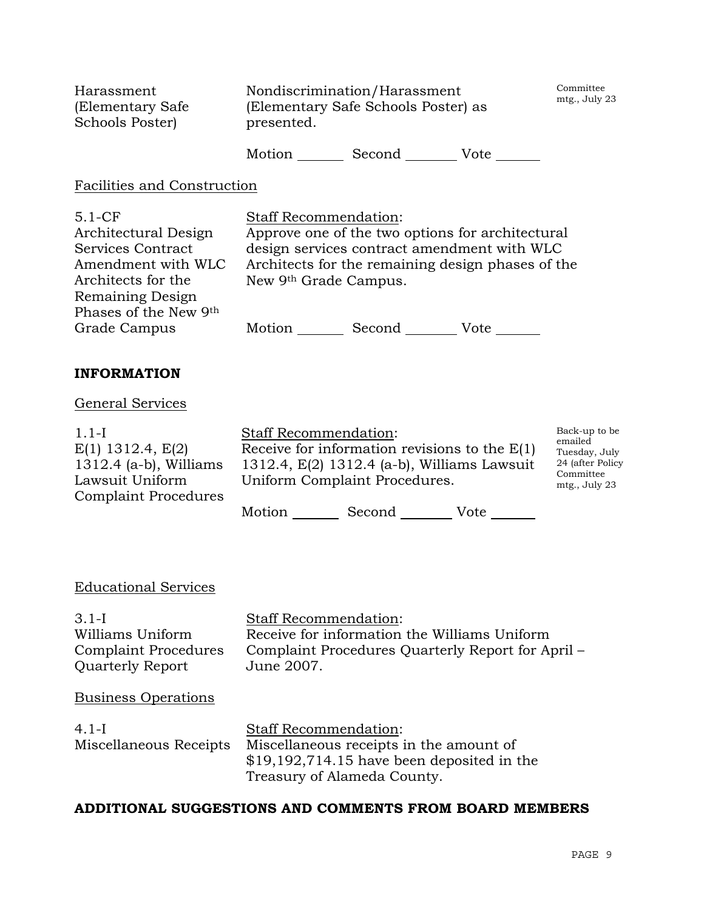| Harassment<br>(Elementary Safe)<br>Schools Poster) | Nondiscrimination/Harassment<br>(Elementary Safe Schools Poster) as<br>presented. | Committee<br>mtg., July 23 |      |  |
|----------------------------------------------------|-----------------------------------------------------------------------------------|----------------------------|------|--|
|                                                    | Motion                                                                            | Second                     | Vote |  |

#### Facilities and Construction

| $5.1-CF$              |
|-----------------------|
| Architectural Design  |
| Services Contract     |
| Amendment with WLC    |
| Architects for the    |
| Remaining Design      |
| Phases of the New 9th |
| Grade Campus          |

Staff Recommendation: Approve one of the two options for architectural design services contract amendment with WLC Architects for the remaining design phases of the New 9th Grade Campus.

Motion Second Vote

## **INFORMATION**

#### General Services

| $1.1-I$                     | <b>Staff Recommendation:</b>                    | Back-up to be                 |
|-----------------------------|-------------------------------------------------|-------------------------------|
| $E(1)$ 1312.4, $E(2)$       | Receive for information revisions to the $E(1)$ | emailed<br>Tuesday, July      |
| $1312.4$ (a-b), Williams    | 1312.4, $E(2)$ 1312.4 (a-b), Williams Lawsuit   | 24 (after Policy              |
| Lawsuit Uniform             | Uniform Complaint Procedures.                   | Committee<br>$mtg.$ , July 23 |
| <b>Complaint Procedures</b> |                                                 |                               |
|                             | Motion<br>Second<br>Vote                        |                               |

## Educational Services

3.1-I Williams Uniform Complaint Procedures Quarterly Report

Staff Recommendation: Receive for information the Williams Uniform Complaint Procedures Quarterly Report for April – June 2007.

## Business Operations

| $4.1-I$                | <b>Staff Recommendation:</b>                |
|------------------------|---------------------------------------------|
| Miscellaneous Receipts | Miscellaneous receipts in the amount of     |
|                        | $$19,192,714.15$ have been deposited in the |
|                        | Treasury of Alameda County.                 |

## **ADDITIONAL SUGGESTIONS AND COMMENTS FROM BOARD MEMBERS**